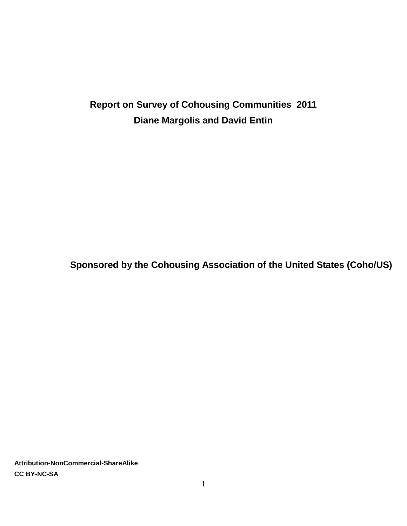# **Report on Survey of Cohousing Communities 2011 Diane Margolis and David Entin**

**Sponsored by the Cohousing Association of the United States (Coho/US)**

**Attribution-NonCommercial-ShareAlike CC BY-NC-SA**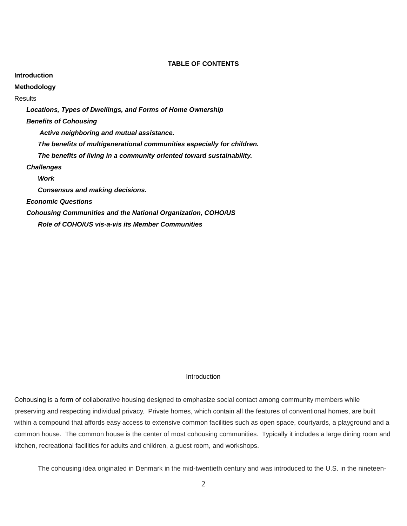# **TABLE OF CONTENTS**

**Introduction Methodology Results** *Locations, Types of Dwellings, and Forms of Home Ownership Benefits of Cohousing Active neighboring and mutual assistance. The benefits of multigenerational communities especially for children. The benefits of living in a community oriented toward sustainability. Challenges Work Consensus and making decisions. Economic Questions Cohousing Communities and the National Organization, COHO/US Role of COHO/US vis-a-vis its Member Communities*

## **Introduction**

Cohousing is a form of collaborative housing designed to emphasize social contact among community members while preserving and respecting individual privacy. Private homes, which contain all the features of conventional homes, are built within a compound that affords easy access to extensive common facilities such as open space, courtyards, a playground and a common house. The common house is the center of most cohousing communities. Typically it includes a large dining room and kitchen, recreational facilities for adults and children, a guest room, and workshops.

The cohousing idea originated in Denmark in the mid-twentieth century and was introduced to the U.S. in the nineteen-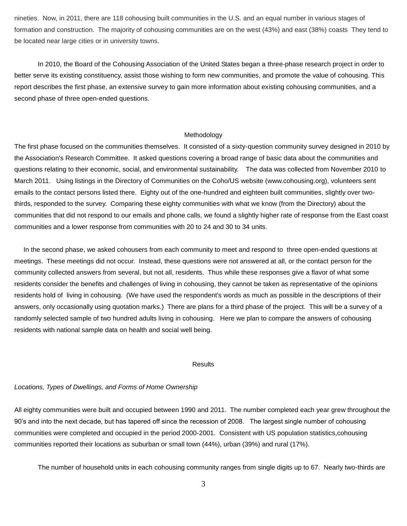nineties. Now, in 2011, there are 118 cohousing built communities in the U.S. and an equal number in various stages of formation and construction. The majority of cohousing communities are on the west (43%) and east (38%) coasts They tend to be located near large cities or in university towns.

In 2010, the Board of the Cohousing Association of the United States began a three-phase research project in order to better serve its existing constituency, assist those wishing to form new communities, and promote the value of cohousing. This report describes the first phase, an extensive survey to gain more information about existing cohousing communities, and a second phase of three open-ended questions.

# Methodology

The first phase focused on the communities themselves. It consisted of a sixty-question community survey designed in 2010 by the Association's Research Committee. It asked questions covering a broad range of basic data about the communities and questions relating to their economic, social, and environmental sustainability. The data was collected from November 2010 to March 2011. Using listings in the Directory of Communities on the Coho/US website (www.cohousing.org), volunteers sent emails to the contact persons listed there. Eighty out of the one-hundred and eighteen built communities, slightly over twothirds, responded to the survey. Comparing these eighty communities with what we know (from the Directory) about the communities that did not respond to our emails and phone calls, we found a slightly higher rate of response from the East coast communities and a lower response from communities with 20 to 24 and 30 to 34 units.

 In the second phase, we asked cohousers from each community to meet and respond to three open-ended questions at meetings. These meetings did not occur. Instead, these questions were not answered at all, or the contact person for the community collected answers from several, but not all, residents. Thus while these responses give a flavor of what some residents consider the benefits and challenges of living in cohousing, they cannot be taken as representative of the opinions residents hold of living in cohousing. (We have used the respondent's words as much as possible in the descriptions of their answers, only occasionally using quotation marks.) There are plans for a third phase of the project. This will be a survey of a randomly selected sample of two hundred adults living in cohousing. Here we plan to compare the answers of cohousing residents with national sample data on health and social well being.

#### **Results**

# *Locations, Types of Dwellings, and Forms of Home Ownership*

All eighty communities were built and occupied between 1990 and 2011. The number completed each year grew throughout the 90's and into the next decade, but has tapered off since the recession of 2008. The largest single number of cohousing communities were completed and occupied in the period 2000-2001. Consistent with US population statistics,cohousing communities reported their locations as suburban or small town (44%), urban (39%) and rural (17%).

The number of household units in each cohousing community ranges from single digits up to 67. Nearly two-thirds are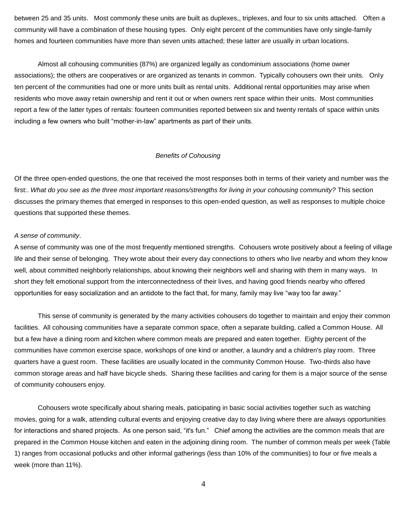between 25 and 35 units. Most commonly these units are built as duplexes,, triplexes, and four to six units attached. Often a community will have a combination of these housing types. Only eight percent of the communities have only single-family homes and fourteen communities have more than seven units attached; these latter are usually in urban locations.

Almost all cohousing communities (87%) are organized legally as condominium associations (home owner associations); the others are cooperatives or are organized as tenants in common. Typically cohousers own their units. Only ten percent of the communities had one or more units built as rental units. Additional rental opportunities may arise when residents who move away retain ownership and rent it out or when owners rent space within their units. Most communities report a few of the latter types of rentals: fourteen communities reported between six and twenty rentals of space within units including a few owners who built "mother-in-law" apartments as part of their units.

## *Benefits of Cohousing*

Of the three open-ended questions, the one that received the most responses both in terms of their variety and number was the first:. *What do you see as the three most important reasons/strengths for living in your cohousing community?* This section discusses the primary themes that emerged in responses to this open-ended question, as well as responses to multiple choice questions that supported these themes.

#### *A sense of community*.

A sense of community was one of the most frequently mentioned strengths. Cohousers wrote positively about a feeling of village life and their sense of belonging. They wrote about their every day connections to others who live nearby and whom they know well, about committed neighborly relationships, about knowing their neighbors well and sharing with them in many ways. In short they felt emotional support from the interconnectedness of their lives, and having good friends nearby who offered opportunities for easy socialization and an antidote to the fact that, for many, family may live "way too far away."

This sense of community is generated by the many activities cohousers do together to maintain and enjoy their common facilities. All cohousing communities have a separate common space, often a separate building, called a Common House. All but a few have a dining room and kitchen where common meals are prepared and eaten together. Eighty percent of the communities have common exercise space, workshops of one kind or another, a laundry and a children's play room. Three quarters have a guest room. These facilities are usually located in the community Common House. Two-thirds also have common storage areas and half have bicycle sheds. Sharing these facilities and caring for them is a major source of the sense of community cohousers enjoy.

Cohousers wrote specifically about sharing meals, paticipating in basic social activities together such as watching movies, going for a walk, attending cultural events and enjoying creative day to day living where there are always opportunities for interactions and shared projects. As one person said, "it's fun." Chief among the activities are the common meals that are prepared in the Common House kitchen and eaten in the adjoining dining room. The number of common meals per week (Table 1) ranges from occasional potlucks and other informal gatherings (less than 10% of the communities) to four or five meals a week (more than 11%).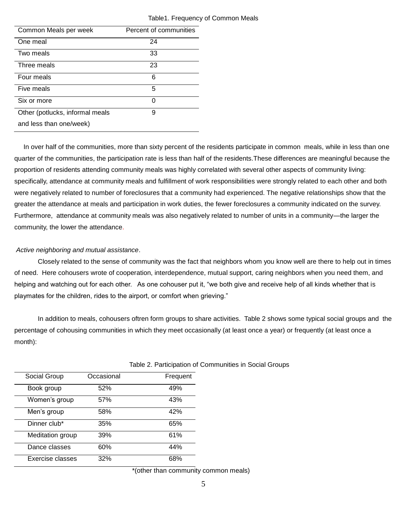| Common Meals per week           | Percent of communities |  |
|---------------------------------|------------------------|--|
| One meal                        | 24                     |  |
| Two meals                       | 33                     |  |
| Three meals                     | 23                     |  |
| Four meals                      | 6                      |  |
| Five meals                      | 5                      |  |
| Six or more                     | ი                      |  |
| Other (potlucks, informal meals | 9                      |  |
| and less than one/week)         |                        |  |

# Table1. Frequency of Common Meals

 In over half of the communities, more than sixty percent of the residents participate in common meals, while in less than one quarter of the communities, the participation rate is less than half of the residents.These differences are meaningful because the proportion of residents attending community meals was highly correlated with several other aspects of community living: specifically, attendance at community meals and fulfillment of work responsibilities were strongly related to each other and both were negatively related to number of foreclosures that a community had experienced. The negative relationships show that the greater the attendance at meals and participation in work duties, the fewer foreclosures a community indicated on the survey. Furthermore, attendance at community meals was also negatively related to number of units in a community—the larger the community, the lower the attendance.

## *Active neighboring and mutual assistance*.

Closely related to the sense of community was the fact that neighbors whom you know well are there to help out in times of need. Here cohousers wrote of cooperation, interdependence, mutual support, caring neighbors when you need them, and helping and watching out for each other. As one cohouser put it, "we both give and receive help of all kinds whether that is playmates for the children, rides to the airport, or comfort when grieving."

In addition to meals, cohousers oftren form groups to share activities. Table 2 shows some typical social groups and the percentage of cohousing communities in which they meet occasionally (at least once a year) or frequently (at least once a month):

| Social Group     | Occasional | Frequent |
|------------------|------------|----------|
| Book group       | 52%        | 49%      |
| Women's group    | 57%        | 43%      |
| Men's group      | 58%        | 42%      |
| Dinner club*     | 35%        | 65%      |
| Meditation group | 39%        | 61%      |
| Dance classes    | 60%        | 44%      |
| Exercise classes | 32%        | 68%      |

## Table 2. Participation of Communities in Social Groups

\*(other than community common meals)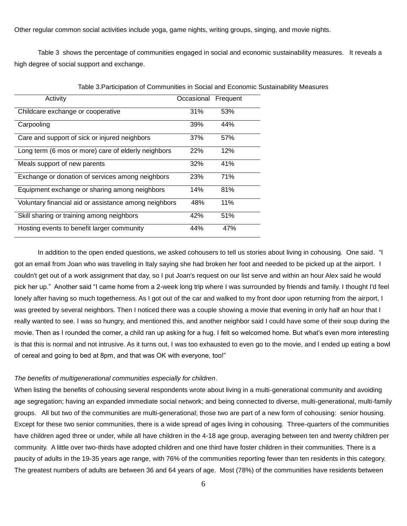Other regular common social activities include yoga, game nights, writing groups, singing, and movie nights.

Table 3 shows the percentage of communities engaged in social and economic sustainability measures. It reveals a high degree of social support and exchange.

| Activity                                              | Occasional | Frequent |
|-------------------------------------------------------|------------|----------|
| Childcare exchange or cooperative                     | 31%        | 53%      |
| Carpooling                                            | 39%        | 44%      |
| Care and support of sick or injured neighbors         | 37%        | 57%      |
| Long term (6 mos or more) care of elderly neighbors   | 22%        | 12%      |
| Meals support of new parents                          | 32%        | 41%      |
| Exchange or donation of services among neighbors      | <b>23%</b> | 71%      |
| Equipment exchange or sharing among neighbors         | 14%        | 81%      |
| Voluntary financial aid or assistance among neighbors | 48%        | 11%      |
| Skill sharing or training among neighbors             | 42%        | 51%      |
| Hosting events to benefit larger community            | 44%        | 47%      |

Table 3.Participation of Communities in Social and Economic Sustainability Measures

In addition to the open ended questions, we asked cohousers to tell us stories about living in cohousing. One said. "I got an email from Joan who was traveling in Italy saying she had broken her foot and needed to be picked up at the airport. I couldn't get out of a work assignment that day, so I put Joan's request on our list serve and within an hour Alex said he would pick her up." Another said "I came home from a 2-week long trip where I was surrounded by friends and family. I thought I'd feel lonely after having so much togetherness. As I got out of the car and walked to my front door upon returning from the airport, I was greeted by several neighbors. Then I noticed there was a couple showing a movie that evening in only half an hour that I really wanted to see. I was so hungry, and mentioned this, and another neighbor said I could have some of their soup during the movie. Then as I rounded the corner, a child ran up asking for a hug. I felt so welcomed home. But what's even more interesting is that this is normal and not intrusive. As it turns out, I was too exhausted to even go to the movie, and I ended up eating a bowl of cereal and going to bed at 8pm, and that was OK with everyone, too!"

#### *The benefits of multigenerational communities especially for children*.

When listing the benefits of cohousing several respondents wrote about living in a multi-generational community and avoiding age segregation; having an expanded immediate social network; and being connected to diverse, multi-generational, multi-family groups. All but two of the communities are multi-generational; those two are part of a new form of cohousing: senior housing. Except for these two senior communities, there is a wide spread of ages living in cohousing. Three-quarters of the communities have children aged three or under, while all have children in the 4-18 age group, averaging between ten and twenty children per community. A little over two-thirds have adopted children and one third have foster children in their communities. There is a paucity of adults in the 19-35 years age range, with 76% of the communities reporting fewer than ten residents in this category. The greatest numbers of adults are between 36 and 64 years of age. Most (78%) of the communities have residents between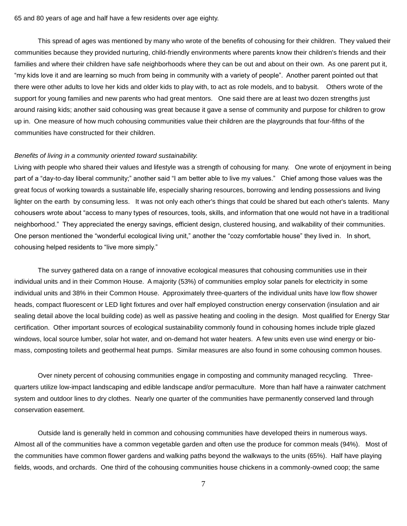65 and 80 years of age and half have a few residents over age eighty.

This spread of ages was mentioned by many who wrote of the benefits of cohousing for their children. They valued their communities because they provided nurturing, child-friendly environments where parents know their children's friends and their families and where their children have safe neighborhoods where they can be out and about on their own. As one parent put it, ―my kids love it and are learning so much from being in community with a variety of people‖. Another parent pointed out that there were other adults to love her kids and older kids to play with, to act as role models, and to babysit. Others wrote of the support for young families and new parents who had great mentors. One said there are at least two dozen strengths just around raising kids; another said cohousing was great because it gave a sense of community and purpose for children to grow up in. One measure of how much cohousing communities value their children are the playgrounds that four-fifths of the communities have constructed for their children.

#### *Benefits of living in a community oriented toward sustainability.*

Living with people who shared their values and lifestyle was a strength of cohousing for many. One wrote of enjoyment in being part of a "day-to-day liberal community;" another said "I am better able to live my values." Chief among those values was the great focus of working towards a sustainable life, especially sharing resources, borrowing and lending possessions and living lighter on the earth by consuming less. It was not only each other's things that could be shared but each other's talents. Many cohousers wrote about "access to many types of resources, tools, skills, and information that one would not have in a traditional neighborhood.‖ They appreciated the energy savings, efficient design, clustered housing, and walkability of their communities. One person mentioned the "wonderful ecological living unit," another the "cozy comfortable house" they lived in. In short, cohousing helped residents to "live more simply."

The survey gathered data on a range of innovative ecological measures that cohousing communities use in their individual units and in their Common House. A majority (53%) of communities employ solar panels for electricity in some individual units and 38% in their Common House. Approximately three-quarters of the individual units have low flow shower heads, compact fluorescent or LED light fixtures and over half employed construction energy conservation (insulation and air sealing detail above the local building code) as well as passive heating and cooling in the design. Most qualified for Energy Star certification. Other important sources of ecological sustainability commonly found in cohousing homes include triple glazed windows, local source lumber, solar hot water, and on-demand hot water heaters. A few units even use wind energy or biomass, composting toilets and geothermal heat pumps. Similar measures are also found in some cohousing common houses.

Over ninety percent of cohousing communities engage in composting and community managed recycling. Threequarters utilize low-impact landscaping and edible landscape and/or permaculture. More than half have a rainwater catchment system and outdoor lines to dry clothes. Nearly one quarter of the communities have permanently conserved land through conservation easement.

Outside land is generally held in common and cohousing communities have developed theirs in numerous ways. Almost all of the communities have a common vegetable garden and often use the produce for common meals (94%). Most of the communities have common flower gardens and walking paths beyond the walkways to the units (65%). Half have playing fields, woods, and orchards. One third of the cohousing communities house chickens in a commonly-owned coop; the same

7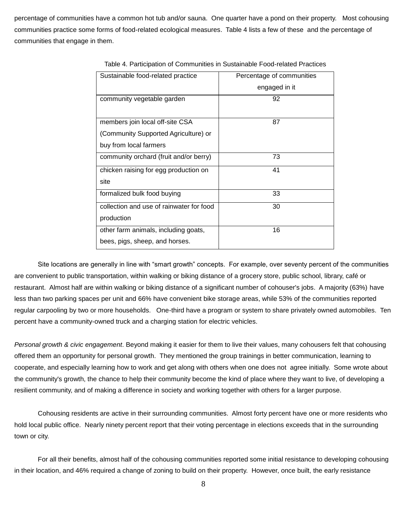percentage of communities have a common hot tub and/or sauna. One quarter have a pond on their property. Most cohousing communities practice some forms of food-related ecological measures. Table 4 lists a few of these and the percentage of communities that engage in them.

| Sustainable food-related practice        | Percentage of communities |
|------------------------------------------|---------------------------|
|                                          | engaged in it             |
| community vegetable garden               | 92                        |
|                                          |                           |
| members join local off-site CSA          | 87                        |
| (Community Supported Agriculture) or     |                           |
| buy from local farmers                   |                           |
| community orchard (fruit and/or berry)   | 73                        |
| chicken raising for egg production on    | 41                        |
| site                                     |                           |
| formalized bulk food buying              | 33                        |
| collection and use of rainwater for food | 30                        |
| production                               |                           |
| other farm animals, including goats,     | 16                        |
| bees, pigs, sheep, and horses.           |                           |

Table 4. Participation of Communities in Sustainable Food-related Practices

Site locations are generally in line with "smart growth" concepts. For example, over seventy percent of the communities are convenient to public transportation, within walking or biking distance of a grocery store, public school, library, café or restaurant. Almost half are within walking or biking distance of a significant number of cohouser's jobs. A majority (63%) have less than two parking spaces per unit and 66% have convenient bike storage areas, while 53% of the communities reported regular carpooling by two or more households. One-third have a program or system to share privately owned automobiles. Ten percent have a community-owned truck and a charging station for electric vehicles.

*Personal growth & civic engagement*. Beyond making it easier for them to live their values, many cohousers felt that cohousing offered them an opportunity for personal growth. They mentioned the group trainings in better communication, learning to cooperate, and especially learning how to work and get along with others when one does not agree initially. Some wrote about the community's growth, the chance to help their community become the kind of place where they want to live, of developing a resilient community, and of making a difference in society and working together with others for a larger purpose.

Cohousing residents are active in their surrounding communities. Almost forty percent have one or more residents who hold local public office. Nearly ninety percent report that their voting percentage in elections exceeds that in the surrounding town or city.

For all their benefits, almost half of the cohousing communities reported some initial resistance to developing cohousing in their location, and 46% required a change of zoning to build on their property. However, once built, the early resistance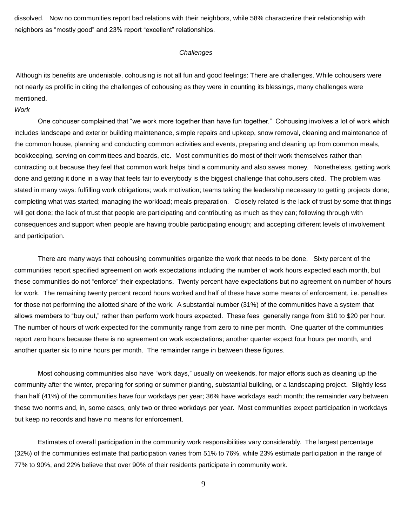dissolved. Now no communities report bad relations with their neighbors, while 58% characterize their relationship with neighbors as "mostly good" and 23% report "excellent" relationships.

### *Challenges*

Although its benefits are undeniable, cohousing is not all fun and good feelings: There are challenges. While cohousers were not nearly as prolific in citing the challenges of cohousing as they were in counting its blessings, many challenges were mentioned.

# *Work*

One cohouser complained that "we work more together than have fun together." Cohousing involves a lot of work which includes landscape and exterior building maintenance, simple repairs and upkeep, snow removal, cleaning and maintenance of the common house, planning and conducting common activities and events, preparing and cleaning up from common meals, bookkeeping, serving on committees and boards, etc. Most communities do most of their work themselves rather than contracting out because they feel that common work helps bind a community and also saves money. Nonetheless, getting work done and getting it done in a way that feels fair to everybody is the biggest challenge that cohousers cited. The problem was stated in many ways: fulfilling work obligations; work motivation; teams taking the leadership necessary to getting projects done; completing what was started; managing the workload; meals preparation. Closely related is the lack of trust by some that things will get done; the lack of trust that people are participating and contributing as much as they can; following through with consequences and support when people are having trouble participating enough; and accepting different levels of involvement and participation.

There are many ways that cohousing communities organize the work that needs to be done. Sixty percent of the communities report specified agreement on work expectations including the number of work hours expected each month, but these communities do not "enforce" their expectations. Twenty percent have expectations but no agreement on number of hours for work. The remaining twenty percent record hours worked and half of these have some means of enforcement, i.e. penalties for those not performing the allotted share of the work. A substantial number (31%) of the communities have a system that allows members to "buy out," rather than perform work hours expected. These fees generally range from \$10 to \$20 per hour. The number of hours of work expected for the community range from zero to nine per month. One quarter of the communities report zero hours because there is no agreement on work expectations; another quarter expect four hours per month, and another quarter six to nine hours per month. The remainder range in between these figures.

Most cohousing communities also have "work days," usually on weekends, for major efforts such as cleaning up the community after the winter, preparing for spring or summer planting, substantial building, or a landscaping project. Slightly less than half (41%) of the communities have four workdays per year; 36% have workdays each month; the remainder vary between these two norms and, in, some cases, only two or three workdays per year. Most communities expect participation in workdays but keep no records and have no means for enforcement.

Estimates of overall participation in the community work responsibilities vary considerably. The largest percentage (32%) of the communities estimate that participation varies from 51% to 76%, while 23% estimate participation in the range of 77% to 90%, and 22% believe that over 90% of their residents participate in community work.

9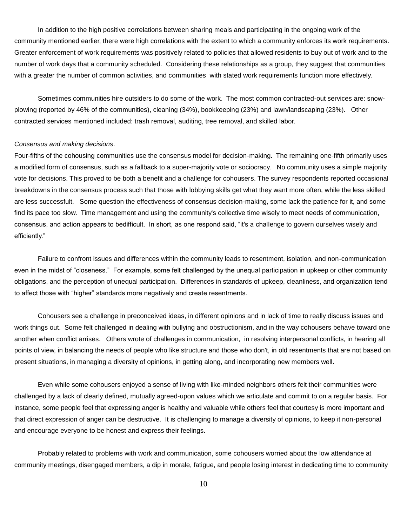In addition to the high positive correlations between sharing meals and participating in the ongoing work of the community mentioned earlier, there were high correlations with the extent to which a community enforces its work requirements. Greater enforcement of work requirements was positively related to policies that allowed residents to buy out of work and to the number of work days that a community scheduled. Considering these relationships as a group, they suggest that communities with a greater the number of common activities, and communities with stated work requirements function more effectively.

Sometimes communities hire outsiders to do some of the work. The most common contracted-out services are: snowplowing (reported by 46% of the communities), cleaning (34%), bookkeeping (23%) and lawn/landscaping (23%). Other contracted services mentioned included: trash removal, auditing, tree removal, and skilled labor.

#### *Consensus and making decisions*.

Four-fifths of the cohousing communities use the consensus model for decision-making. The remaining one-fifth primarily uses a modified form of consensus, such as a fallback to a super-majority vote or sociocracy. No community uses a simple majority vote for decisions. This proved to be both a benefit and a challenge for cohousers. The survey respondents reported occasional breakdowns in the consensus process such that those with lobbying skills get what they want more often, while the less skilled are less successfult. Some question the effectiveness of consensus decision-making, some lack the patience for it, and some find its pace too slow. Time management and using the community's collective time wisely to meet needs of communication, consensus, and action appears to bedifficult. In short, as one respond said, "it's a challenge to govern ourselves wisely and efficiently."

Failure to confront issues and differences within the community leads to resentment, isolation, and non-communication even in the midst of "closeness." For example, some felt challenged by the unequal participation in upkeep or other community obligations, and the perception of unequal participation. Differences in standards of upkeep, cleanliness, and organization tend to affect those with "higher" standards more negatively and create resentments.

Cohousers see a challenge in preconceived ideas, in different opinions and in lack of time to really discuss issues and work things out. Some felt challenged in dealing with bullying and obstructionism, and in the way cohousers behave toward one another when conflict arrises. Others wrote of challenges in communication, in resolving interpersonal conflicts, in hearing all points of view, in balancing the needs of people who like structure and those who don't, in old resentments that are not based on present situations, in managing a diversity of opinions, in getting along, and incorporating new members well.

Even while some cohousers enjoyed a sense of living with like-minded neighbors others felt their communities were challenged by a lack of clearly defined, mutually agreed-upon values which we articulate and commit to on a regular basis. For instance, some people feel that expressing anger is healthy and valuable while others feel that courtesy is more important and that direct expression of anger can be destructive. It is challenging to manage a diversity of opinions, to keep it non-personal and encourage everyone to be honest and express their feelings.

Probably related to problems with work and communication, some cohousers worried about the low attendance at community meetings, disengaged members, a dip in morale, fatigue, and people losing interest in dedicating time to community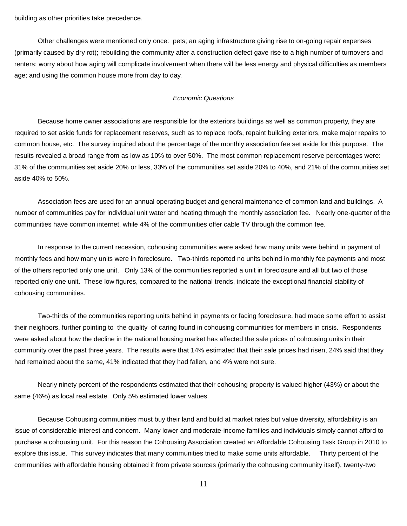building as other priorities take precedence.

Other challenges were mentioned only once: pets; an aging infrastructure giving rise to on-going repair expenses (primarily caused by dry rot); rebuilding the community after a construction defect gave rise to a high number of turnovers and renters; worry about how aging will complicate involvement when there will be less energy and physical difficulties as members age; and using the common house more from day to day.

## *Economic Questions*

Because home owner associations are responsible for the exteriors buildings as well as common property, they are required to set aside funds for replacement reserves, such as to replace roofs, repaint building exteriors, make major repairs to common house, etc. The survey inquired about the percentage of the monthly association fee set aside for this purpose. The results revealed a broad range from as low as 10% to over 50%. The most common replacement reserve percentages were: 31% of the communities set aside 20% or less, 33% of the communities set aside 20% to 40%, and 21% of the communities set aside 40% to 50%.

Association fees are used for an annual operating budget and general maintenance of common land and buildings. A number of communities pay for individual unit water and heating through the monthly association fee. Nearly one-quarter of the communities have common internet, while 4% of the communities offer cable TV through the common fee.

In response to the current recession, cohousing communities were asked how many units were behind in payment of monthly fees and how many units were in foreclosure. Two-thirds reported no units behind in monthly fee payments and most of the others reported only one unit. Only 13% of the communities reported a unit in foreclosure and all but two of those reported only one unit. These low figures, compared to the national trends, indicate the exceptional financial stability of cohousing communities.

Two-thirds of the communities reporting units behind in payments or facing foreclosure, had made some effort to assist their neighbors, further pointing to the quality of caring found in cohousing communities for members in crisis. Respondents were asked about how the decline in the national housing market has affected the sale prices of cohousing units in their community over the past three years. The results were that 14% estimated that their sale prices had risen, 24% said that they had remained about the same, 41% indicated that they had fallen, and 4% were not sure.

Nearly ninety percent of the respondents estimated that their cohousing property is valued higher (43%) or about the same (46%) as local real estate. Only 5% estimated lower values.

Because Cohousing communities must buy their land and build at market rates but value diversity, affordability is an issue of considerable interest and concern. Many lower and moderate-income families and individuals simply cannot afford to purchase a cohousing unit. For this reason the Cohousing Association created an Affordable Cohousing Task Group in 2010 to explore this issue. This survey indicates that many communities tried to make some units affordable. Thirty percent of the communities with affordable housing obtained it from private sources (primarily the cohousing community itself), twenty-two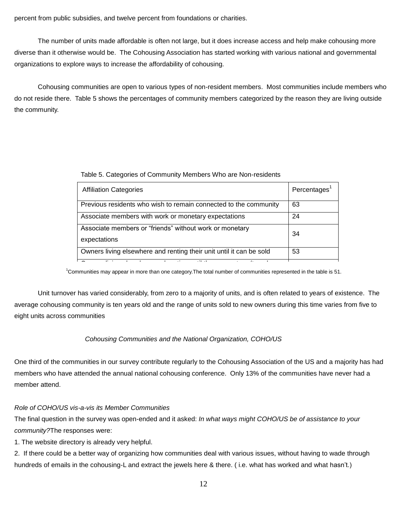percent from public subsidies, and twelve percent from foundations or charities.

The number of units made affordable is often not large, but it does increase access and help make cohousing more diverse than it otherwise would be. The Cohousing Association has started working with various national and governmental organizations to explore ways to increase the affordability of cohousing.

Cohousing communities are open to various types of non-resident members. Most communities include members who do not reside there. Table 5 shows the percentages of community members categorized by the reason they are living outside the community.

| Table 5. Categories of Community Members Who are Non-residents |  |  |
|----------------------------------------------------------------|--|--|
|                                                                |  |  |

| <b>Affiliation Categories</b>                                           | Percentages <sup>1</sup> |
|-------------------------------------------------------------------------|--------------------------|
| Previous residents who wish to remain connected to the community        | 63                       |
| Associate members with work or monetary expectations                    | 24                       |
| Associate members or "friends" without work or monetary<br>expectations | 34                       |
| Owners living elsewhere and renting their unit until it can be sold     | 53                       |
| $\cdot$ .<br>$-1$<br>$\cdot$<br>.                                       |                          |

 $1$ Communities may appear in more than one category. The total number of communities represented in the table is 51. kat<br>a

Unit turnover has varied considerably, from zero to a majority of units, and is often related to years of existence. The average cohousing community is ten years old and the range of units sold to new owners during this time varies from five to eight units across communities

# *Cohousing Communities and the National Organization, COHO/US*

One third of the communities in our survey contribute regularly to the Cohousing Association of the US and a majority has had members who have attended the annual national cohousing conference. Only 13% of the communities have never had a member attend.

# *Role of COHO/US vis-a-vis its Member Communities*

The final question in the survey was open-ended and it asked: *In what ways might COHO/US be of assistance to your community?*The responses were:

1. The website directory is already very helpful.

2. If there could be a better way of organizing how communities deal with various issues, without having to wade through hundreds of emails in the cohousing-L and extract the jewels here & there. ( i.e. what has worked and what hasn't.)